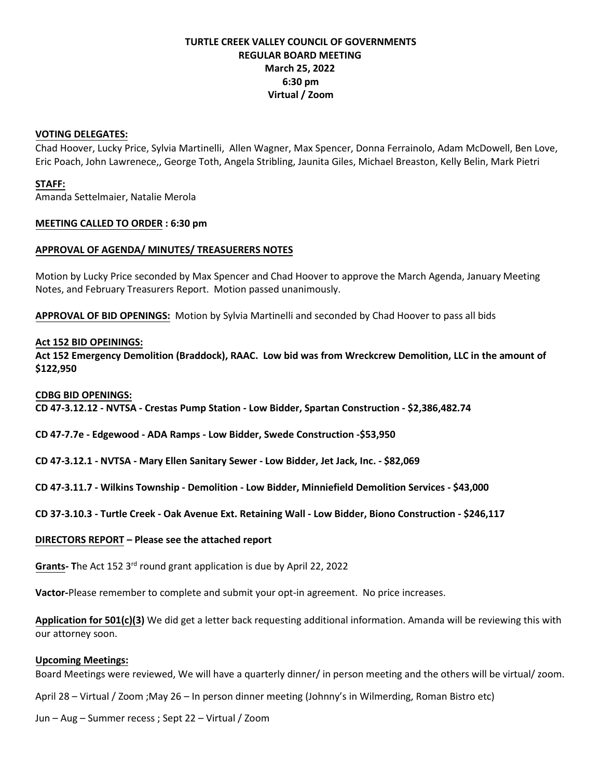# **TURTLE CREEK VALLEY COUNCIL OF GOVERNMENTS REGULAR BOARD MEETING March 25, 2022 6:30 pm Virtual / Zoom**

### **VOTING DELEGATES:**

Chad Hoover, Lucky Price, Sylvia Martinelli, Allen Wagner, Max Spencer, Donna Ferrainolo, Adam McDowell, Ben Love, Eric Poach, John Lawrenece,, George Toth, Angela Stribling, Jaunita Giles, Michael Breaston, Kelly Belin, Mark Pietri

## **STAFF:**

Amanda Settelmaier, Natalie Merola

## **MEETING CALLED TO ORDER : 6:30 pm**

# **APPROVAL OF AGENDA/ MINUTES/ TREASUERERS NOTES**

Motion by Lucky Price seconded by Max Spencer and Chad Hoover to approve the March Agenda, January Meeting Notes, and February Treasurers Report. Motion passed unanimously.

**APPROVAL OF BID OPENINGS:** Motion by Sylvia Martinelli and seconded by Chad Hoover to pass all bids

## **Act 152 BID OPEININGS:**

**Act 152 Emergency Demolition (Braddock), RAAC. Low bid was from Wreckcrew Demolition, LLC in the amount of \$122,950**

#### **CDBG BID OPENINGS:**

**CD 47-3.12.12 - NVTSA - Crestas Pump Station - Low Bidder, Spartan Construction - \$2,386,482.74**

**CD 47-7.7e - Edgewood - ADA Ramps - Low Bidder, Swede Construction -\$53,950**

**CD 47-3.12.1 - NVTSA - Mary Ellen Sanitary Sewer - Low Bidder, Jet Jack, Inc. - \$82,069**

**CD 47-3.11.7 - Wilkins Township - Demolition - Low Bidder, Minniefield Demolition Services - \$43,000**

**CD 37-3.10.3 - Turtle Creek - Oak Avenue Ext. Retaining Wall - Low Bidder, Biono Construction - \$246,117**

#### **DIRECTORS REPORT – Please see the attached report**

Grants- The Act 152 3<sup>rd</sup> round grant application is due by April 22, 2022

**Vactor-**Please remember to complete and submit your opt-in agreement. No price increases.

**Application for 501(c)(3)** We did get a letter back requesting additional information. Amanda will be reviewing this with our attorney soon.

#### **Upcoming Meetings:**

Board Meetings were reviewed, We will have a quarterly dinner/ in person meeting and the others will be virtual/ zoom.

April 28 – Virtual / Zoom ;May 26 – In person dinner meeting (Johnny's in Wilmerding, Roman Bistro etc)

Jun – Aug – Summer recess ; Sept 22 – Virtual / Zoom